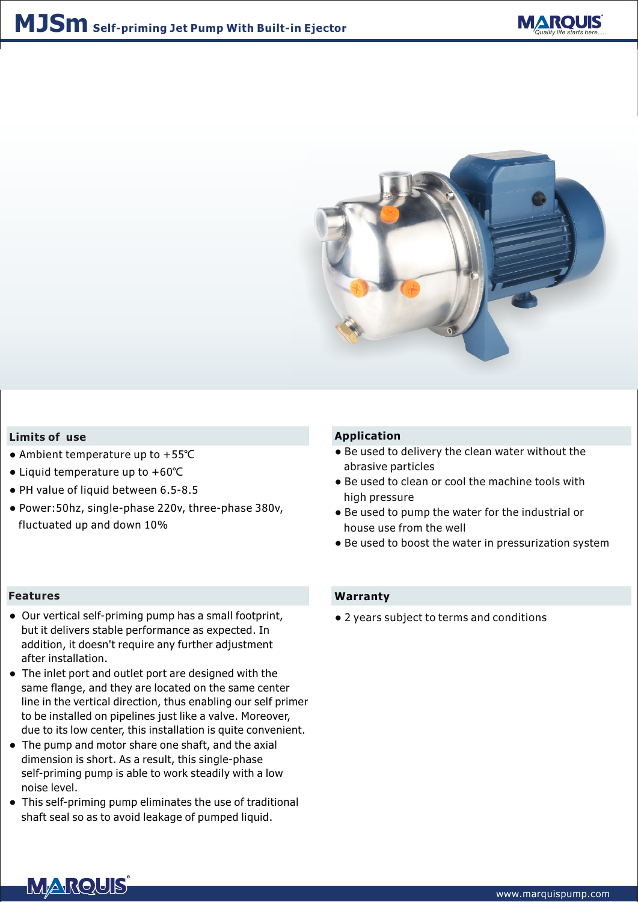



### **Limits of use**

- Ambient temperature up to +55℃
- Liquid temperature up to +60℃
- PH value of liquid between 6.5-8.5
- Power:50hz, single-phase 220v, three-phase 380v, fluctuated up and down 10%

#### **Features**

- Our vertical self-priming pump has a small footprint, but it delivers stable performance as expected. In addition, it doesn't require any further adjustment after installation.
- The inlet port and outlet port are designed with the same flange, and they are located on the same center line in the vertical direction, thus enabling our self primer to be installed on pipelines just like a valve. Moreover, due to its low center, this installation is quite convenient.
- The pump and motor share one shaft, and the axial dimension is short. As a result, this single-phase self-priming pump is able to work steadily with a low noise level.
- This self-priming pump eliminates the use of traditional shaft seal so as to avoid leakage of pumped liquid.

#### **Application**

- Be used to delivery the clean water without the abrasive particles
- Be used to clean or cool the machine tools with high pressure
- Be used to pump the water for the industrial or house use from the well
- Be used to boost the water in pressurization system

## **Warranty**

● 2 years subject to terms and conditions

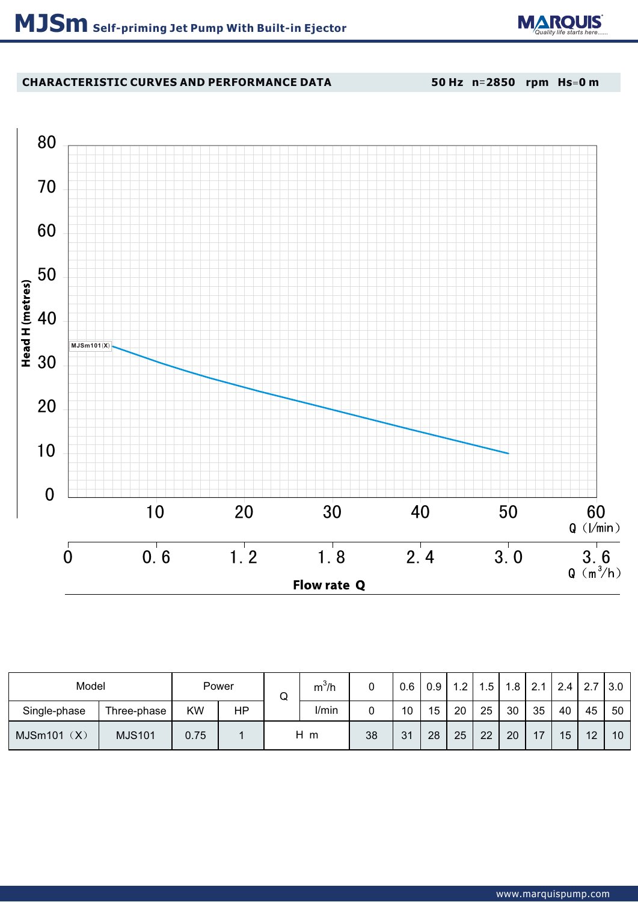

# **CHARACTERISTIC CURVES AND PERFORMANCE DATA**

**50 Hz n**=**2850 rpm Hs**=**0 m**



| Model          |               | Power |    | w | $m^3/h$ |    | 0.6 | 0.9 | 1.2 | $.5\,$ | .8 | 121<br>۷. | 2.4 | 2.7 | $\vert 3.0 \vert$ |
|----------------|---------------|-------|----|---|---------|----|-----|-----|-----|--------|----|-----------|-----|-----|-------------------|
| Single-phase   | Three-phase   | ΚW    | HP |   | I/min   |    | 10  | 15  | 20  | 25     | 30 | 35        | 40  | 45  | 50                |
| (X)<br>MJSm101 | <b>MJS101</b> | 0.75  |    |   | Нm      | 38 | 31  | 28  | 25  | 22     | 20 | 17        | 15  | 12  | 10                |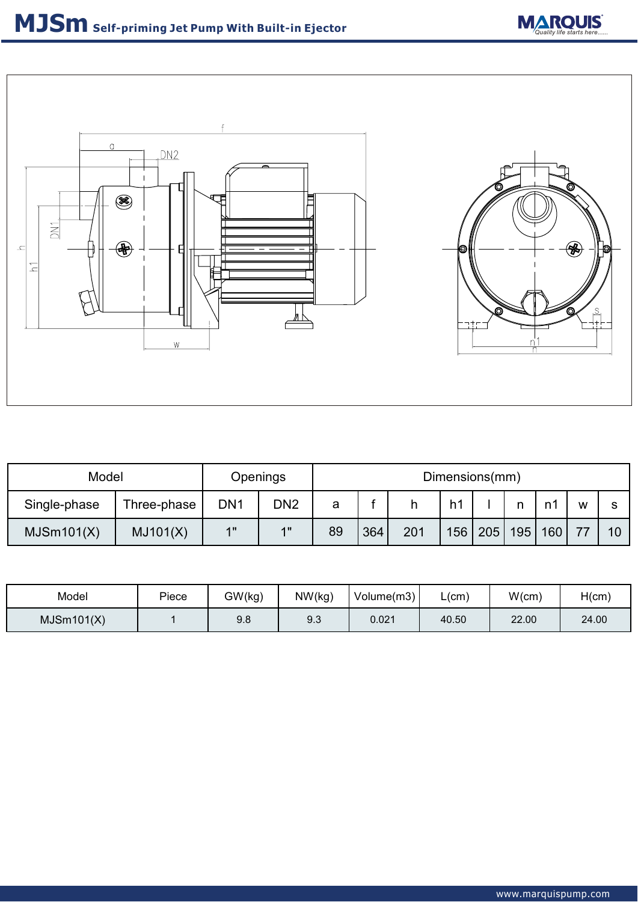

| Model        | Openings    | Dimensions(mm)  |                 |    |     |     |     |     |     |     |   |    |
|--------------|-------------|-----------------|-----------------|----|-----|-----|-----|-----|-----|-----|---|----|
| Single-phase | Three-phase | DN <sub>1</sub> | DN <sub>2</sub> | а  |     |     | h1  |     |     |     | w | c  |
| MJSm101(X)   | MJ101(X)    | 4H              | 4H              | 89 | 364 | 201 | 156 | 205 | 195 | 160 |   | 10 |

| Model      | Piece | GW(kg) | NW(kg) | Volume(m3) | _(cm) | W(cm) | H(cm) |
|------------|-------|--------|--------|------------|-------|-------|-------|
| MJSm101(X) |       | 9.8    | 9.3    | 0.021      | 40.50 | 22.00 | 24.00 |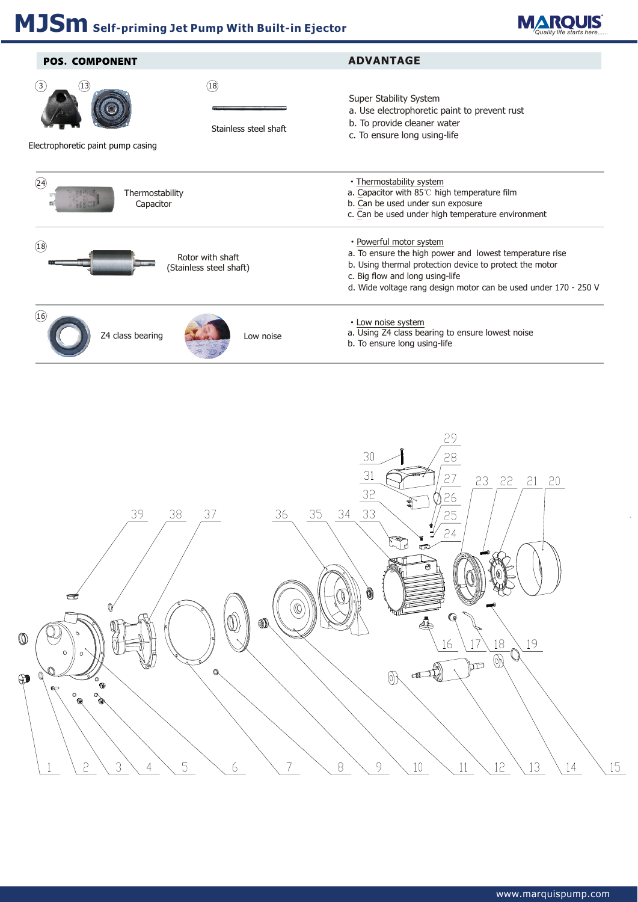

| <b>POS. COMPONENT</b>                            |                                             | <b>ADVANTAGE</b>                                                                                                                                                                                                                                    |  |  |  |  |  |
|--------------------------------------------------|---------------------------------------------|-----------------------------------------------------------------------------------------------------------------------------------------------------------------------------------------------------------------------------------------------------|--|--|--|--|--|
| (3)<br>(13)<br>Electrophoretic paint pump casing | (18)<br>Stainless steel shaft               | Super Stability System<br>a. Use electrophoretic paint to prevent rust<br>b. To provide cleaner water<br>c. To ensure long using-life                                                                                                               |  |  |  |  |  |
| (24)<br>Thermostability<br>Capacitor             |                                             | • Thermostability system<br>a. Capacitor with 85°C high temperature film<br>b. Can be used under sun exposure<br>c. Can be used under high temperature environment                                                                                  |  |  |  |  |  |
| (18)                                             | Rotor with shaft<br>(Stainless steel shaft) | • Powerful motor system<br>a. To ensure the high power and lowest temperature rise<br>b. Using thermal protection device to protect the motor<br>c. Big flow and long using-life<br>d. Wide voltage rang design motor can be used under 170 - 250 V |  |  |  |  |  |
| $\widehat{16}$<br>Z4 class bearing               | Low noise                                   | • Low noise system<br>a. Using Z4 class bearing to ensure lowest noise<br>b. To ensure long using-life                                                                                                                                              |  |  |  |  |  |